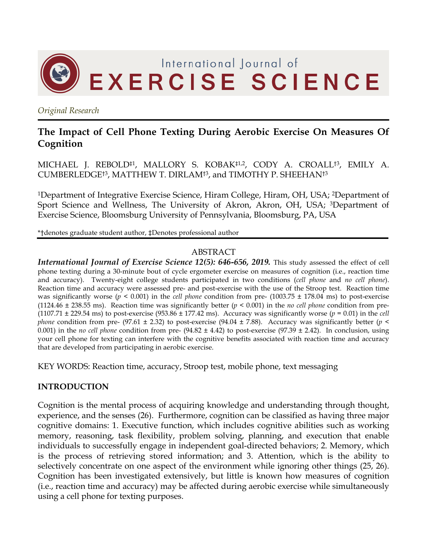

*Original Research*

# **The Impact of Cell Phone Texting During Aerobic Exercise On Measures Of Cognition**

MICHAEL J. REBOLD‡1, MALLORY S. KOBAK‡1,2, CODY A. CROALL†3, EMILY A. CUMBERLEDGE†3, MATTHEW T. DIRLAM†3, and TIMOTHY P. SHEEHAN†3

1Department of Integrative Exercise Science, Hiram College, Hiram, OH, USA; 2Department of Sport Science and Wellness, The University of Akron, Akron, OH, USA; 3Department of Exercise Science, Bloomsburg University of Pennsylvania, Bloomsburg, PA, USA

\*†denotes graduate student author, ‡Denotes professional author

### ABSTRACT

*International Journal of Exercise Science 12(5): 646-656, 2019.* This study assessed the effect of cell phone texting during a 30-minute bout of cycle ergometer exercise on measures of cognition (i.e., reaction time and accuracy). Twenty-eight college students participated in two conditions (*cell phone* and *no cell phone*). Reaction time and accuracy were assessed pre- and post-exercise with the use of the Stroop test. Reaction time was significantly worse (*p* < 0.001) in the *cell phone* condition from pre- (1003.75 ± 178.04 ms) to post-exercise (1124.46 ± 238.55 ms). Reaction time was significantly better (*p* < 0.001) in the *no cell phone* condition from pre- (1107.71 ± 229.54 ms) to post-exercise (953.86 ± 177.42 ms). Accuracy was significantly worse (*p* = 0.01) in the *cell phone* condition from pre- (97.61  $\pm$  2.32) to post-exercise (94.04  $\pm$  7.88). Accuracy was significantly better (*p* < 0.001) in the *no cell phone* condition from pre-  $(94.82 \pm 4.42)$  to post-exercise  $(97.39 \pm 2.42)$ . In conclusion, using your cell phone for texting can interfere with the cognitive benefits associated with reaction time and accuracy that are developed from participating in aerobic exercise.

KEY WORDS: Reaction time, accuracy, Stroop test, mobile phone, text messaging

### **INTRODUCTION**

Cognition is the mental process of acquiring knowledge and understanding through thought, experience, and the senses (26). Furthermore, cognition can be classified as having three major cognitive domains: 1. Executive function, which includes cognitive abilities such as working memory, reasoning, task flexibility, problem solving, planning, and execution that enable individuals to successfully engage in independent goal-directed behaviors; 2. Memory, which is the process of retrieving stored information; and 3. Attention, which is the ability to selectively concentrate on one aspect of the environment while ignoring other things (25, 26). Cognition has been investigated extensively, but little is known how measures of cognition (i.e., reaction time and accuracy) may be affected during aerobic exercise while simultaneously using a cell phone for texting purposes.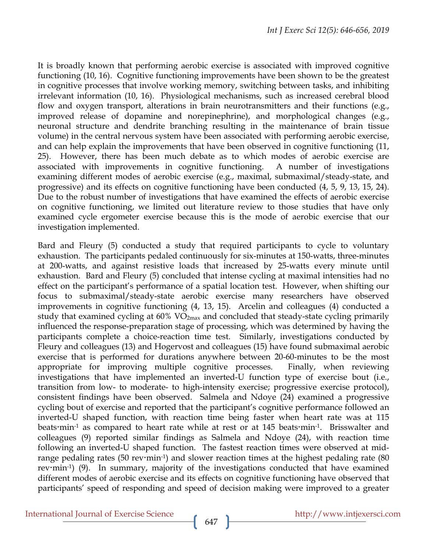It is broadly known that performing aerobic exercise is associated with improved cognitive functioning (10, 16). Cognitive functioning improvements have been shown to be the greatest in cognitive processes that involve working memory, switching between tasks, and inhibiting irrelevant information (10, 16). Physiological mechanisms, such as increased cerebral blood flow and oxygen transport, alterations in brain neurotransmitters and their functions (e.g., improved release of dopamine and norepinephrine), and morphological changes (e.g., neuronal structure and dendrite branching resulting in the maintenance of brain tissue volume) in the central nervous system have been associated with performing aerobic exercise, and can help explain the improvements that have been observed in cognitive functioning (11, 25). However, there has been much debate as to which modes of aerobic exercise are associated with improvements in cognitive functioning. A number of investigations examining different modes of aerobic exercise (e.g., maximal, submaximal/steady-state, and progressive) and its effects on cognitive functioning have been conducted (4, 5, 9, 13, 15, 24). Due to the robust number of investigations that have examined the effects of aerobic exercise on cognitive functioning, we limited out literature review to those studies that have only examined cycle ergometer exercise because this is the mode of aerobic exercise that our investigation implemented.

Bard and Fleury (5) conducted a study that required participants to cycle to voluntary exhaustion. The participants pedaled continuously for six-minutes at 150-watts, three-minutes at 200-watts, and against resistive loads that increased by 25-watts every minute until exhaustion. Bard and Fleury (5) concluded that intense cycling at maximal intensities had no effect on the participant's performance of a spatial location test. However, when shifting our focus to submaximal/steady-state aerobic exercise many researchers have observed improvements in cognitive functioning (4, 13, 15). Arcelin and colleagues (4) conducted a study that examined cycling at 60% VO<sub>2max</sub> and concluded that steady-state cycling primarily influenced the response-preparation stage of processing, which was determined by having the participants complete a choice-reaction time test. Similarly, investigations conducted by Fleury and colleagues (13) and Hogervost and colleagues (15) have found submaximal aerobic exercise that is performed for durations anywhere between 20-60-minutes to be the most appropriate for improving multiple cognitive processes. Finally, when reviewing investigations that have implemented an inverted-U function type of exercise bout (i.e., transition from low- to moderate- to high-intensity exercise; progressive exercise protocol), consistent findings have been observed. Salmela and Ndoye (24) examined a progressive cycling bout of exercise and reported that the participant's cognitive performance followed an inverted-U shaped function, with reaction time being faster when heart rate was at 115 beats min<sup>-1</sup> as compared to heart rate while at rest or at 145 beats min<sup>-1</sup>. Brisswalter and colleagues (9) reported similar findings as Salmela and Ndoye (24), with reaction time following an inverted-U shaped function. The fastest reaction times were observed at midrange pedaling rates (50 rev $\cdot$ min<sup>-1</sup>) and slower reaction times at the highest pedaling rate (80 rev·min<sup>-1</sup>) (9). In summary, majority of the investigations conducted that have examined different modes of aerobic exercise and its effects on cognitive functioning have observed that participants' speed of responding and speed of decision making were improved to a greater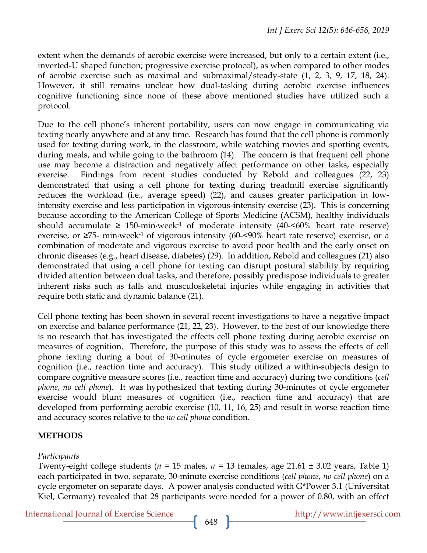extent when the demands of aerobic exercise were increased, but only to a certain extent (i.e., inverted-U shaped function; progressive exercise protocol), as when compared to other modes of aerobic exercise such as maximal and submaximal/steady-state (1, 2, 3, 9, 17, 18, 24). However, it still remains unclear how dual-tasking during aerobic exercise influences cognitive functioning since none of these above mentioned studies have utilized such a protocol.

Due to the cell phone's inherent portability, users can now engage in communicating via texting nearly anywhere and at any time. Research has found that the cell phone is commonly used for texting during work, in the classroom, while watching movies and sporting events, during meals, and while going to the bathroom (14). The concern is that frequent cell phone use may become a distraction and negatively affect performance on other tasks, especially exercise. Findings from recent studies conducted by Rebold and colleagues (22, 23) demonstrated that using a cell phone for texting during treadmill exercise significantly reduces the workload (i.e., average speed) (22), and causes greater participation in lowintensity exercise and less participation in vigorous-intensity exercise (23). This is concerning because according to the American College of Sports Medicine (ACSM), healthy individuals should accumulate  $\geq 150$ -min·week<sup>-1</sup> of moderate intensity (40- $\leq 60\%$  heart rate reserve) exercise, or  $\geq$ 75- min·week<sup>-1</sup> of vigorous intensity (60-<90% heart rate reserve) exercise, or a combination of moderate and vigorous exercise to avoid poor health and the early onset on chronic diseases (e.g., heart disease, diabetes) (29). In addition, Rebold and colleagues (21) also demonstrated that using a cell phone for texting can disrupt postural stability by requiring divided attention between dual tasks, and therefore, possibly predispose individuals to greater inherent risks such as falls and musculoskeletal injuries while engaging in activities that require both static and dynamic balance (21).

Cell phone texting has been shown in several recent investigations to have a negative impact on exercise and balance performance (21, 22, 23). However, to the best of our knowledge there is no research that has investigated the effects cell phone texting during aerobic exercise on measures of cognition. Therefore, the purpose of this study was to assess the effects of cell phone texting during a bout of 30-minutes of cycle ergometer exercise on measures of cognition (i.e., reaction time and accuracy). This study utilized a within-subjects design to compare cognitive measure scores (i.e., reaction time and accuracy) during two conditions (*cell phone*, *no cell phone*). It was hypothesized that texting during 30-minutes of cycle ergometer exercise would blunt measures of cognition (i.e., reaction time and accuracy) that are developed from performing aerobic exercise (10, 11, 16, 25) and result in worse reaction time and accuracy scores relative to the *no cell phone* condition.

## **METHODS**

### *Participants*

Twenty-eight college students ( $n = 15$  males,  $n = 13$  females, age 21.61  $\pm$  3.02 years, Table 1) each participated in two, separate, 30-minute exercise conditions (*cell phone*, *no cell phone*) on a cycle ergometer on separate days. A power analysis conducted with G\*Power 3.1 (Universitat Kiel, Germany) revealed that 28 participants were needed for a power of 0.80, with an effect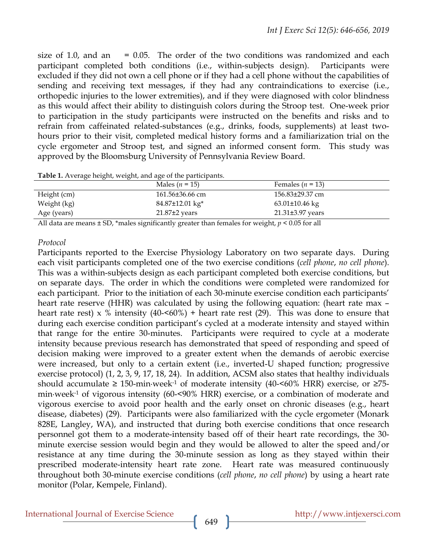size of 1.0, and an  $= 0.05$ . The order of the two conditions was randomized and each participant completed both conditions (i.e., within-subjects design). Participants were excluded if they did not own a cell phone or if they had a cell phone without the capabilities of sending and receiving text messages, if they had any contraindications to exercise (i.e., orthopedic injuries to the lower extremities), and if they were diagnosed with color blindness as this would affect their ability to distinguish colors during the Stroop test. One-week prior to participation in the study participants were instructed on the benefits and risks and to refrain from caffeinated related-substances (e.g., drinks, foods, supplements) at least twohours prior to their visit, completed medical history forms and a familiarization trial on the cycle ergometer and Stroop test, and signed an informed consent form. This study was approved by the Bloomsburg University of Pennsylvania Review Board.

**Table 1.** Average height, weight, and age of the participants.

|                  | Males ( $n = 15$ )             | Females ( $n = 13$ ) |  |
|------------------|--------------------------------|----------------------|--|
| Height (cm)      | 161.56±36.66 cm                | 156.83±29.37 cm      |  |
| Weight (kg)      | $84.87 \pm 12.01 \text{ kg}^*$ | $63.01\pm10.46$ kg   |  |
| Age (years)      | $21.87\pm2$ years              | $21.31\pm3.97$ years |  |
| $ -$<br>.<br>___ |                                |                      |  |

All data are means ± SD, \*males significantly greater than females for weight, *p* < 0.05 for all

#### *Protocol*

Participants reported to the Exercise Physiology Laboratory on two separate days. During each visit participants completed one of the two exercise conditions (*cell phone*, *no cell phone*). This was a within-subjects design as each participant completed both exercise conditions, but on separate days. The order in which the conditions were completed were randomized for each participant. Prior to the initiation of each 30-minute exercise condition each participants' heart rate reserve (HHR) was calculated by using the following equation: (heart rate max – heart rate rest) x % intensity  $(40<\times60\%)$  + heart rate rest (29). This was done to ensure that during each exercise condition participant's cycled at a moderate intensity and stayed within that range for the entire 30-minutes. Participants were required to cycle at a moderate intensity because previous research has demonstrated that speed of responding and speed of decision making were improved to a greater extent when the demands of aerobic exercise were increased, but only to a certain extent (i.e., inverted-U shaped function; progressive exercise protocol) (1, 2, 3, 9, 17, 18, 24). In addition, ACSM also states that healthy individuals should accumulate  $\geq 150$ -min·week<sup>-1</sup> of moderate intensity (40-<60% HRR) exercise, or  $\geq 75$ min·week-1 of vigorous intensity (60-<90% HRR) exercise, or a combination of moderate and vigorous exercise to avoid poor health and the early onset on chronic diseases (e.g., heart disease, diabetes) (29). Participants were also familiarized with the cycle ergometer (Monark 828E, Langley, WA), and instructed that during both exercise conditions that once research personnel got them to a moderate-intensity based off of their heart rate recordings, the 30 minute exercise session would begin and they would be allowed to alter the speed and/or resistance at any time during the 30-minute session as long as they stayed within their prescribed moderate-intensity heart rate zone. Heart rate was measured continuously throughout both 30-minute exercise conditions (*cell phone*, *no cell phone*) by using a heart rate monitor (Polar, Kempele, Finland).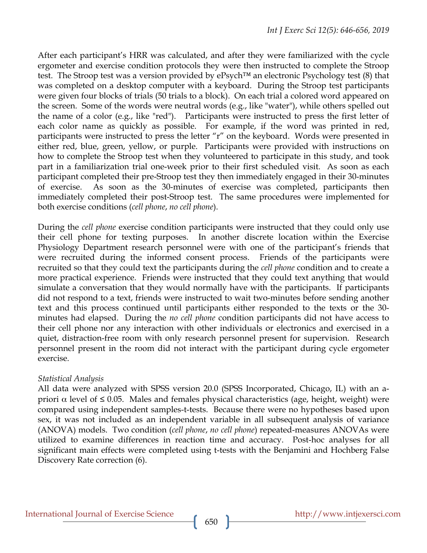After each participant's HRR was calculated, and after they were familiarized with the cycle ergometer and exercise condition protocols they were then instructed to complete the Stroop test. The Stroop test was a version provided by ePsych™ an electronic Psychology test (8) that was completed on a desktop computer with a keyboard. During the Stroop test participants were given four blocks of trials (50 trials to a block). On each trial a colored word appeared on the screen. Some of the words were neutral words (e.g., like "water"), while others spelled out the name of a color (e.g., like "red"). Participants were instructed to press the first letter of each color name as quickly as possible. For example, if the word was printed in red, participants were instructed to press the letter "r" on the keyboard. Words were presented in either red, blue, green, yellow, or purple. Participants were provided with instructions on how to complete the Stroop test when they volunteered to participate in this study, and took part in a familiarization trial one-week prior to their first scheduled visit. As soon as each participant completed their pre-Stroop test they then immediately engaged in their 30-minutes of exercise. As soon as the 30-minutes of exercise was completed, participants then immediately completed their post-Stroop test. The same procedures were implemented for both exercise conditions (*cell phone*, *no cell phone*).

During the *cell phone* exercise condition participants were instructed that they could only use their cell phone for texting purposes. In another discrete location within the Exercise Physiology Department research personnel were with one of the participant's friends that were recruited during the informed consent process. Friends of the participants were recruited so that they could text the participants during the *cell phone* condition and to create a more practical experience. Friends were instructed that they could text anything that would simulate a conversation that they would normally have with the participants. If participants did not respond to a text, friends were instructed to wait two-minutes before sending another text and this process continued until participants either responded to the texts or the 30 minutes had elapsed. During the *no cell phone* condition participants did not have access to their cell phone nor any interaction with other individuals or electronics and exercised in a quiet, distraction-free room with only research personnel present for supervision. Research personnel present in the room did not interact with the participant during cycle ergometer exercise.

### *Statistical Analysis*

All data were analyzed with SPSS version 20.0 (SPSS Incorporated, Chicago, IL) with an apriori  $\alpha$  level of  $\leq$  0.05. Males and females physical characteristics (age, height, weight) were compared using independent samples-t-tests. Because there were no hypotheses based upon sex, it was not included as an independent variable in all subsequent analysis of variance (ANOVA) models. Two condition (*cell phone*, *no cell phone*) repeated-measures ANOVAs were utilized to examine differences in reaction time and accuracy. Post-hoc analyses for all significant main effects were completed using t-tests with the Benjamini and Hochberg False Discovery Rate correction (6).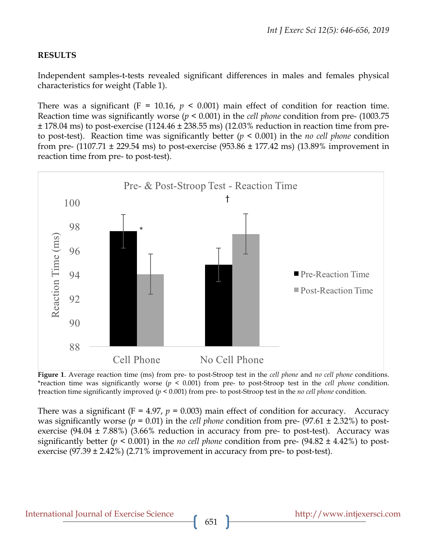### **RESULTS**

Independent samples-t-tests revealed significant differences in males and females physical characteristics for weight (Table 1).

There was a significant ( $F = 10.16$ ,  $p \le 0.001$ ) main effect of condition for reaction time. Reaction time was significantly worse (*p* < 0.001) in the *cell phone* condition from pre- (1003.75  $\pm$  178.04 ms) to post-exercise (1124.46  $\pm$  238.55 ms) (12.03% reduction in reaction time from preto post-test). Reaction time was significantly better (*p* < 0.001) in the *no cell phone* condition from pre-  $(1107.71 \pm 229.54 \text{ ms})$  to post-exercise  $(953.86 \pm 177.42 \text{ ms})$   $(13.89\%$  improvement in reaction time from pre- to post-test).



**Figure 1**. Average reaction time (ms) from pre- to post-Stroop test in the *cell phone* and *no cell phone* conditions. \*reaction time was significantly worse (*p* < 0.001) from pre- to post-Stroop test in the *cell phone* condition. †reaction time significantly improved (*p* < 0.001) from pre- to post-Stroop test in the *no cell phone* condition.

There was a significant  $(F = 4.97, p = 0.003)$  main effect of condition for accuracy. Accuracy was significantly worse ( $p = 0.01$ ) in the *cell phone* condition from pre- (97.61  $\pm$  2.32%) to postexercise  $(94.04 \pm 7.88\%)$   $(3.66\%$  reduction in accuracy from pre- to post-test). Accuracy was significantly better (*p* < 0.001) in the *no cell phone* condition from pre- (94.82 ± 4.42%) to postexercise  $(97.39 \pm 2.42\%)$  (2.71% improvement in accuracy from pre- to post-test).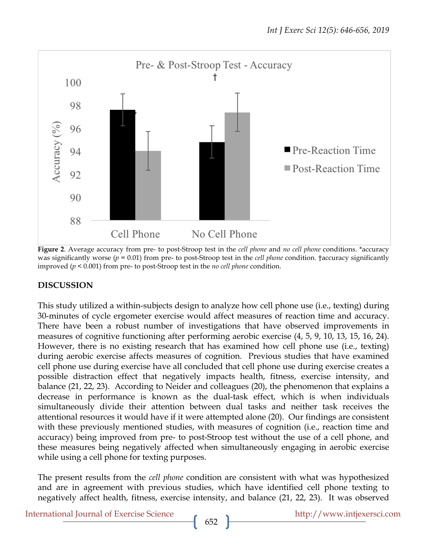

**Figure 2**. Average accuracy from pre- to post-Stroop test in the *cell phone* and *no cell phone* conditions. \*accuracy was significantly worse (*p* = 0.01) from pre- to post-Stroop test in the *cell phone* condition. †accuracy significantly improved (*p* < 0.001) from pre- to post-Stroop test in the *no cell phone* condition.

### **DISCUSSION**

This study utilized a within-subjects design to analyze how cell phone use (i.e., texting) during 30-minutes of cycle ergometer exercise would affect measures of reaction time and accuracy. There have been a robust number of investigations that have observed improvements in measures of cognitive functioning after performing aerobic exercise (4, 5, 9, 10, 13, 15, 16, 24). However, there is no existing research that has examined how cell phone use (i.e., texting) during aerobic exercise affects measures of cognition. Previous studies that have examined cell phone use during exercise have all concluded that cell phone use during exercise creates a possible distraction effect that negatively impacts health, fitness, exercise intensity, and balance (21, 22, 23). According to Neider and colleagues (20), the phenomenon that explains a decrease in performance is known as the dual-task effect, which is when individuals simultaneously divide their attention between dual tasks and neither task receives the attentional resources it would have if it were attempted alone (20). Our findings are consistent with these previously mentioned studies, with measures of cognition (i.e., reaction time and accuracy) being improved from pre- to post-Stroop test without the use of a cell phone, and these measures being negatively affected when simultaneously engaging in aerobic exercise while using a cell phone for texting purposes.

The present results from the *cell phone* condition are consistent with what was hypothesized and are in agreement with previous studies, which have identified cell phone texting to negatively affect health, fitness, exercise intensity, and balance (21, 22, 23). It was observed

International Journal of Exercise Science http://www.intjexersci.com http://www.intjexersci.com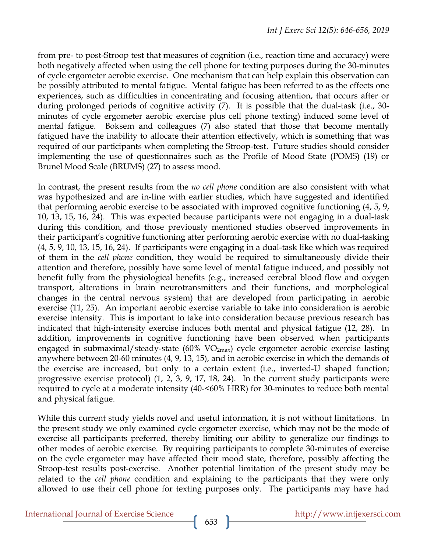from pre- to post-Stroop test that measures of cognition (i.e., reaction time and accuracy) were both negatively affected when using the cell phone for texting purposes during the 30-minutes of cycle ergometer aerobic exercise. One mechanism that can help explain this observation can be possibly attributed to mental fatigue. Mental fatigue has been referred to as the effects one experiences, such as difficulties in concentrating and focusing attention, that occurs after or during prolonged periods of cognitive activity (7). It is possible that the dual-task (i.e., 30 minutes of cycle ergometer aerobic exercise plus cell phone texting) induced some level of mental fatigue. Boksem and colleagues (7) also stated that those that become mentally fatigued have the inability to allocate their attention effectively, which is something that was required of our participants when completing the Stroop-test. Future studies should consider implementing the use of questionnaires such as the Profile of Mood State (POMS) (19) or Brunel Mood Scale (BRUMS) (27) to assess mood.

In contrast, the present results from the *no cell phone* condition are also consistent with what was hypothesized and are in-line with earlier studies, which have suggested and identified that performing aerobic exercise to be associated with improved cognitive functioning (4, 5, 9, 10, 13, 15, 16, 24). This was expected because participants were not engaging in a dual-task during this condition, and those previously mentioned studies observed improvements in their participant's cognitive functioning after performing aerobic exercise with no dual-tasking (4, 5, 9, 10, 13, 15, 16, 24). If participants were engaging in a dual-task like which was required of them in the *cell phone* condition, they would be required to simultaneously divide their attention and therefore, possibly have some level of mental fatigue induced, and possibly not benefit fully from the physiological benefits (e.g., increased cerebral blood flow and oxygen transport, alterations in brain neurotransmitters and their functions, and morphological changes in the central nervous system) that are developed from participating in aerobic exercise (11, 25). An important aerobic exercise variable to take into consideration is aerobic exercise intensity. This is important to take into consideration because previous research has indicated that high-intensity exercise induces both mental and physical fatigue (12, 28). In addition, improvements in cognitive functioning have been observed when participants engaged in submaximal/steady-state (60% VO<sub>2max</sub>) cycle ergometer aerobic exercise lasting anywhere between 20-60 minutes (4, 9, 13, 15), and in aerobic exercise in which the demands of the exercise are increased, but only to a certain extent (i.e., inverted-U shaped function; progressive exercise protocol) (1, 2, 3, 9, 17, 18, 24). In the current study participants were required to cycle at a moderate intensity (40-<60% HRR) for 30-minutes to reduce both mental and physical fatigue.

While this current study yields novel and useful information, it is not without limitations. In the present study we only examined cycle ergometer exercise, which may not be the mode of exercise all participants preferred, thereby limiting our ability to generalize our findings to other modes of aerobic exercise. By requiring participants to complete 30-minutes of exercise on the cycle ergometer may have affected their mood state, therefore, possibly affecting the Stroop-test results post-exercise. Another potential limitation of the present study may be related to the *cell phone* condition and explaining to the participants that they were only allowed to use their cell phone for texting purposes only. The participants may have had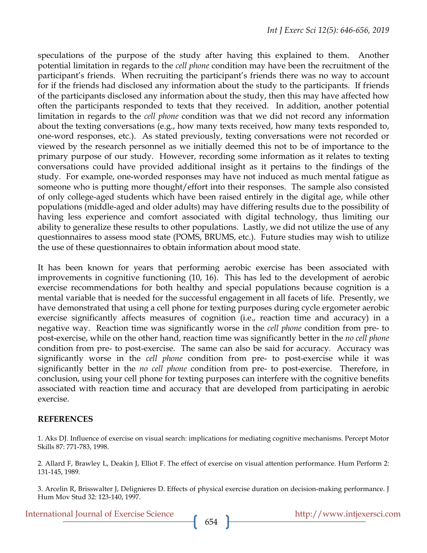speculations of the purpose of the study after having this explained to them. Another potential limitation in regards to the *cell phone* condition may have been the recruitment of the participant's friends. When recruiting the participant's friends there was no way to account for if the friends had disclosed any information about the study to the participants. If friends of the participants disclosed any information about the study, then this may have affected how often the participants responded to texts that they received. In addition, another potential limitation in regards to the *cell phone* condition was that we did not record any information about the texting conversations (e.g., how many texts received, how many texts responded to, one-word responses, etc.). As stated previously, texting conversations were not recorded or viewed by the research personnel as we initially deemed this not to be of importance to the primary purpose of our study. However, recording some information as it relates to texting conversations could have provided additional insight as it pertains to the findings of the study. For example, one-worded responses may have not induced as much mental fatigue as someone who is putting more thought/effort into their responses. The sample also consisted of only college-aged students which have been raised entirely in the digital age, while other populations (middle-aged and older adults) may have differing results due to the possibility of having less experience and comfort associated with digital technology, thus limiting our ability to generalize these results to other populations. Lastly, we did not utilize the use of any questionnaires to assess mood state (POMS, BRUMS, etc.). Future studies may wish to utilize the use of these questionnaires to obtain information about mood state.

It has been known for years that performing aerobic exercise has been associated with improvements in cognitive functioning (10, 16). This has led to the development of aerobic exercise recommendations for both healthy and special populations because cognition is a mental variable that is needed for the successful engagement in all facets of life. Presently, we have demonstrated that using a cell phone for texting purposes during cycle ergometer aerobic exercise significantly affects measures of cognition (i.e., reaction time and accuracy) in a negative way. Reaction time was significantly worse in the *cell phone* condition from pre- to post-exercise, while on the other hand, reaction time was significantly better in the *no cell phone*  condition from pre- to post-exercise. The same can also be said for accuracy. Accuracy was significantly worse in the *cell phone* condition from pre- to post-exercise while it was significantly better in the *no cell phone* condition from pre- to post-exercise. Therefore, in conclusion, using your cell phone for texting purposes can interfere with the cognitive benefits associated with reaction time and accuracy that are developed from participating in aerobic exercise.

#### **REFERENCES**

1. Aks DJ. Influence of exercise on visual search: implications for mediating cognitive mechanisms. Percept Motor Skills 87: 771-783, 1998.

2. Allard F, Brawley L, Deakin J, Elliot F. The effect of exercise on visual attention performance. Hum Perform 2: 131-145, 1989.

3. Arcelin R, Brisswalter J, Delignieres D. Effects of physical exercise duration on decision-making performance. J Hum Mov Stud 32: 123-140, 1997.

International Journal of Exercise Science http://www.intjexersci.com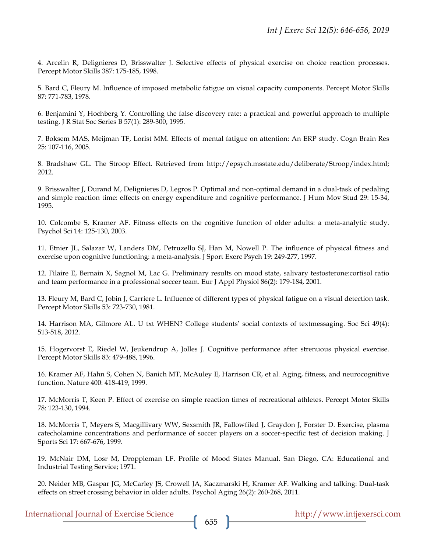4. Arcelin R, Delignieres D, Brisswalter J. Selective effects of physical exercise on choice reaction processes. Percept Motor Skills 387: 175-185, 1998.

5. Bard C, Fleury M. Influence of imposed metabolic fatigue on visual capacity components. Percept Motor Skills 87: 771-783, 1978.

6. Benjamini Y, Hochberg Y. Controlling the false discovery rate: a practical and powerful approach to multiple testing. J R Stat Soc Series B 57(1): 289-300, 1995.

7. Boksem MAS, Meijman TF, Lorist MM. Effects of mental fatigue on attention: An ERP study. Cogn Brain Res 25: 107-116, 2005.

8. Bradshaw GL. The Stroop Effect. Retrieved from http://epsych.msstate.edu/deliberate/Stroop/index.html; 2012.

9. Brisswalter J, Durand M, Delignieres D, Legros P. Optimal and non-optimal demand in a dual-task of pedaling and simple reaction time: effects on energy expenditure and cognitive performance. J Hum Mov Stud 29: 15-34, 1995.

10. Colcombe S, Kramer AF. Fitness effects on the cognitive function of older adults: a meta-analytic study. Psychol Sci 14: 125-130, 2003.

11. Etnier JL, Salazar W, Landers DM, Petruzello SJ, Han M, Nowell P. The influence of physical fitness and exercise upon cognitive functioning: a meta-analysis. J Sport Exerc Psych 19: 249-277, 1997.

12. Filaire E, Bernain X, Sagnol M, Lac G. Preliminary results on mood state, salivary testosterone:cortisol ratio and team performance in a professional soccer team. Eur J Appl Physiol 86(2): 179-184, 2001.

13. Fleury M, Bard C, Jobin J, Carriere L. Influence of different types of physical fatigue on a visual detection task. Percept Motor Skills 53: 723-730, 1981.

14. Harrison MA, Gilmore AL. U txt WHEN? College students' social contexts of textmessaging. Soc Sci 49(4): 513-518, 2012.

15. Hogervorst E, Riedel W, Jeukendrup A, Jolles J. Cognitive performance after strenuous physical exercise. Percept Motor Skills 83: 479-488, 1996.

16. Kramer AF, Hahn S, Cohen N, Banich MT, McAuley E, Harrison CR, et al. Aging, fitness, and neurocognitive function. Nature 400: 418-419, 1999.

17. McMorris T, Keen P. Effect of exercise on simple reaction times of recreational athletes. Percept Motor Skills 78: 123-130, 1994.

18. McMorris T, Meyers S, Macgillivary WW, Sexsmith JR, Fallowfiled J, Graydon J, Forster D. Exercise, plasma catecholamine concentrations and performance of soccer players on a soccer-specific test of decision making. J Sports Sci 17: 667-676, 1999.

19. McNair DM, Losr M, Droppleman LF. Profile of Mood States Manual. San Diego, CA: Educational and Industrial Testing Service; 1971.

20. Neider MB, Gaspar JG, McCarley JS, Crowell JA, Kaczmarski H, Kramer AF. Walking and talking: Dual-task effects on street crossing behavior in older adults. Psychol Aging 26(2): 260-268, 2011.